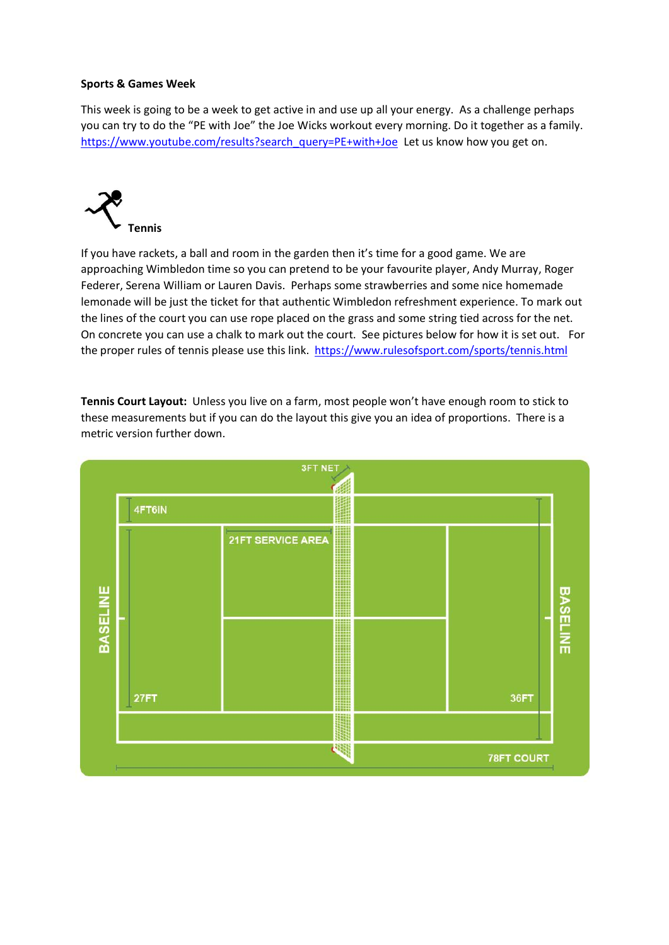### **Sports & Games Week**

This week is going to be a week to get active in and use up all your energy. As a challenge perhaps you can try to do the "PE with Joe" the Joe Wicks workout every morning. Do it together as a family. [https://www.youtube.com/results?search\\_query=PE+with+Joe](https://www.youtube.com/results?search_query=PE+with+Joe) Let us know how you get on.



If you have rackets, a ball and room in the garden then it's time for a good game. We are approaching Wimbledon time so you can pretend to be your favourite player, Andy Murray, Roger Federer, Serena William or Lauren Davis. Perhaps some strawberries and some nice homemade lemonade will be just the ticket for that authentic Wimbledon refreshment experience. To mark out the lines of the court you can use rope placed on the grass and some string tied across for the net. On concrete you can use a chalk to mark out the court. See pictures below for how it is set out. For the proper rules of tennis please use this link. <https://www.rulesofsport.com/sports/tennis.html>

**Tennis Court Layout:** Unless you live on a farm, most people won't have enough room to stick to these measurements but if you can do the layout this give you an idea of proportions. There is a metric version further down.

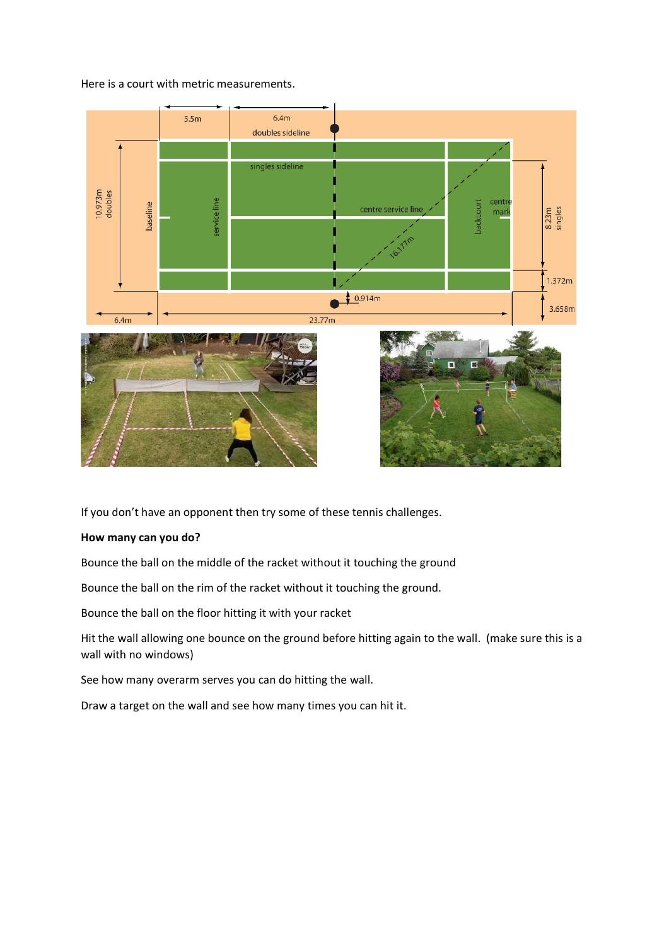#### Here is a court with metric measurements.



If you don't have an opponent then try some of these tennis challenges.

## **How many can you do?**

Bounce the ball on the middle of the racket without it touching the ground

Bounce the ball on the rim of the racket without it touching the ground.

Bounce the ball on the floor hitting it with your racket

Hit the wall allowing one bounce on the ground before hitting again to the wall. (make sure this is a wall with no windows)

See how many overarm serves you can do hitting the wall.

Draw a target on the wall and see how many times you can hit it.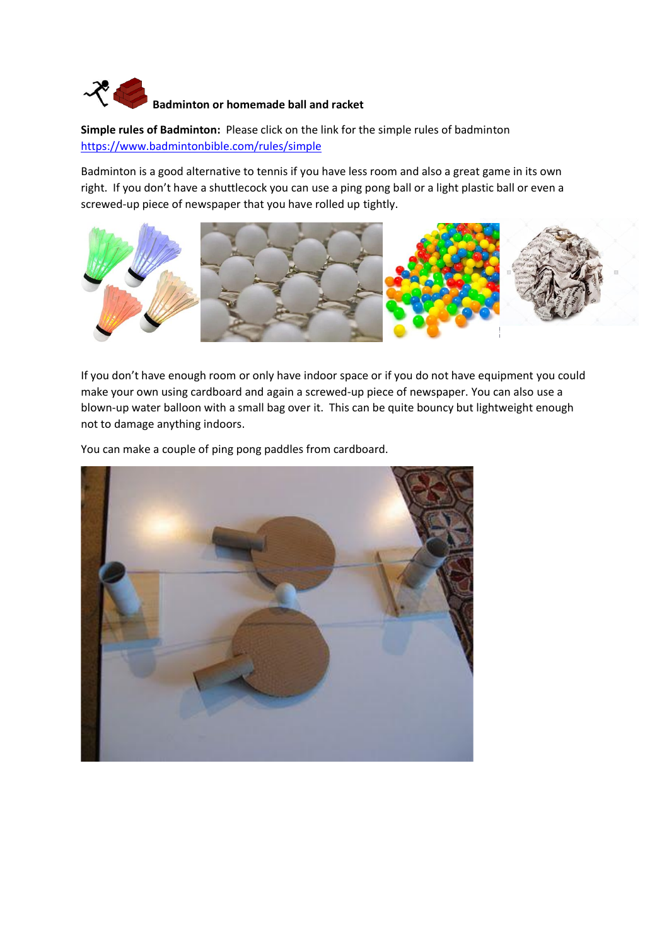# **Badminton or homemade ball and racket**

**Simple rules of Badminton:** Please click on the link for the simple rules of badminton <https://www.badmintonbible.com/rules/simple>

Badminton is a good alternative to tennis if you have less room and also a great game in its own right. If you don't have a shuttlecock you can use a ping pong ball or a light plastic ball or even a screwed-up piece of newspaper that you have rolled up tightly.



If you don't have enough room or only have indoor space or if you do not have equipment you could make your own using cardboard and again a screwed-up piece of newspaper. You can also use a blown-up water balloon with a small bag over it. This can be quite bouncy but lightweight enough not to damage anything indoors.

You can make a couple of ping pong paddles from cardboard.

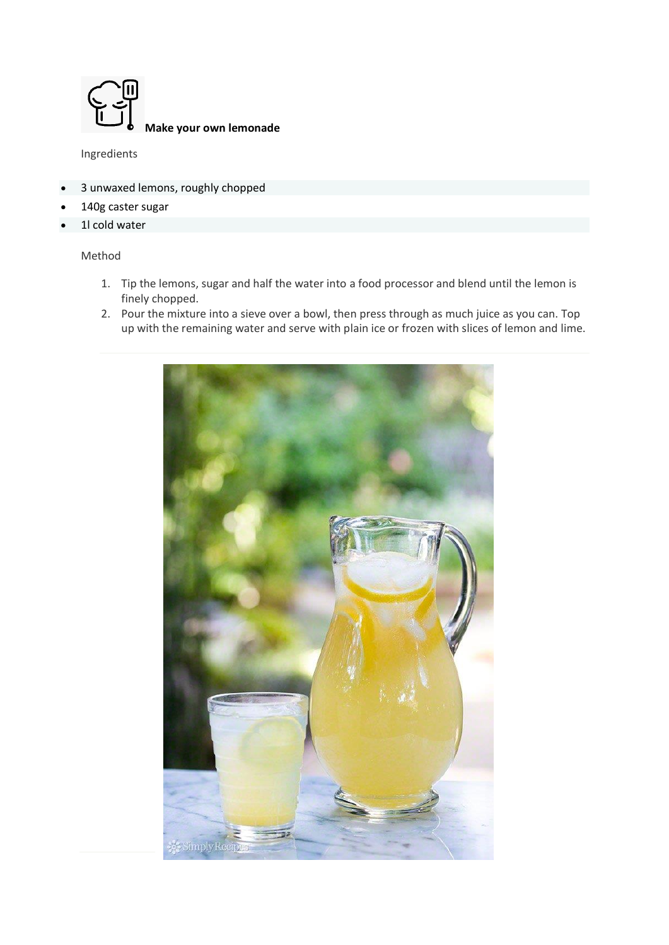

**Make your own lemonade**

Ingredients

- 3 unwaxed lemons, roughly chopped
- 140g caster sugar
- 1l cold water

### Method

- 1. Tip the lemons, sugar and half the water into a food processor and blend until the lemon is finely chopped.
- 2. Pour the mixture into a sieve over a bowl, then press through as much juice as you can. Top up with the remaining water and serve with plain ice or frozen with slices of lemon and lime.

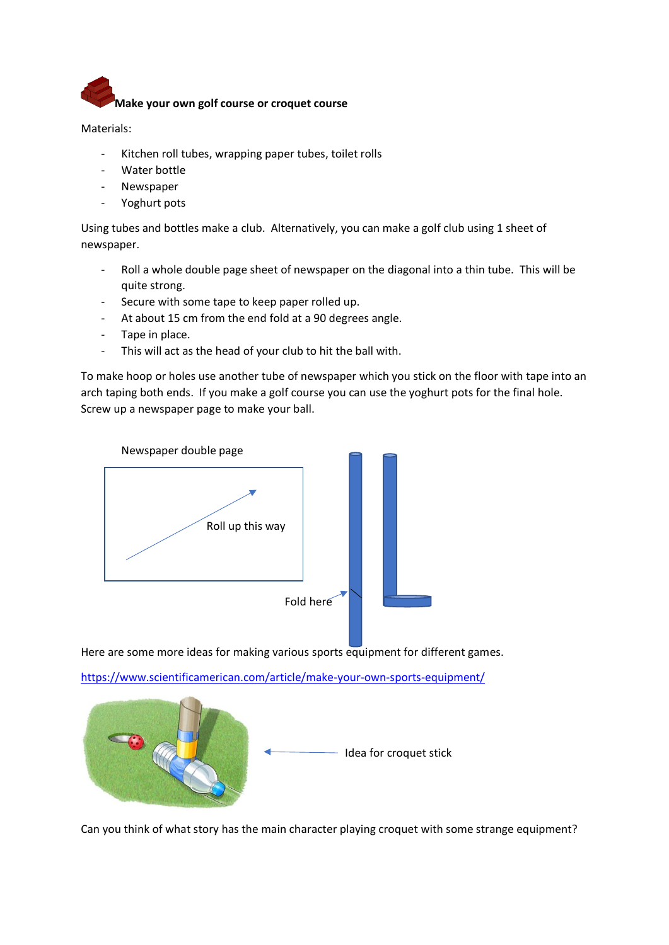

Materials:

- Kitchen roll tubes, wrapping paper tubes, toilet rolls
- Water bottle
- **Newspaper**
- Yoghurt pots

Using tubes and bottles make a club. Alternatively, you can make a golf club using 1 sheet of newspaper.

- Roll a whole double page sheet of newspaper on the diagonal into a thin tube. This will be quite strong.
- Secure with some tape to keep paper rolled up.
- At about 15 cm from the end fold at a 90 degrees angle.
- Tape in place.
- This will act as the head of your club to hit the ball with.

To make hoop or holes use another tube of newspaper which you stick on the floor with tape into an arch taping both ends. If you make a golf course you can use the yoghurt pots for the final hole. Screw up a newspaper page to make your ball.



Here are some more ideas for making various sports equipment for different games.

<https://www.scientificamerican.com/article/make-your-own-sports-equipment/>



Can you think of what story has the main character playing croquet with some strange equipment?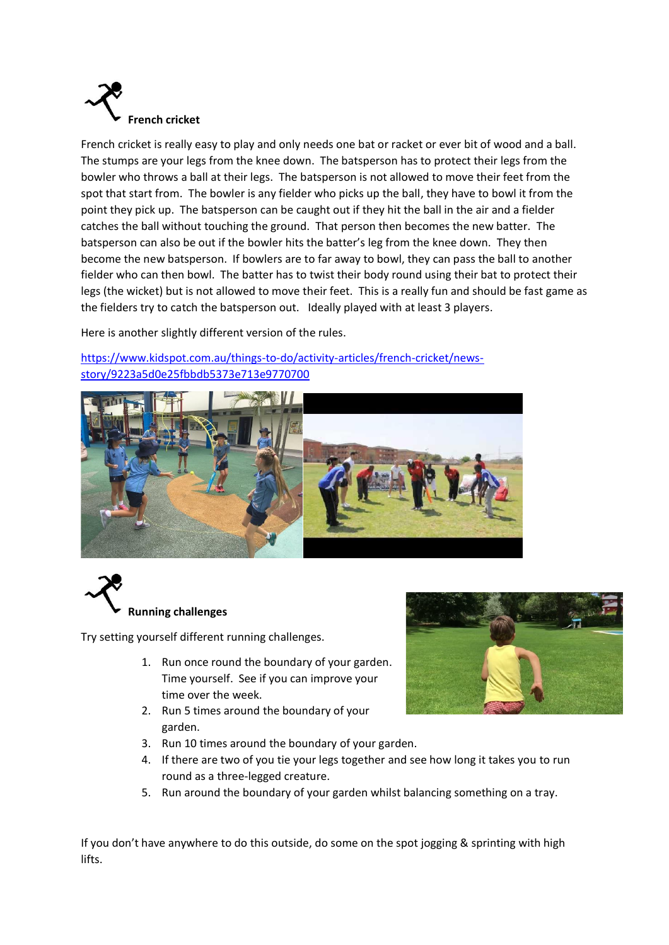

French cricket is really easy to play and only needs one bat or racket or ever bit of wood and a ball. The stumps are your legs from the knee down. The batsperson has to protect their legs from the bowler who throws a ball at their legs. The batsperson is not allowed to move their feet from the spot that start from. The bowler is any fielder who picks up the ball, they have to bowl it from the point they pick up. The batsperson can be caught out if they hit the ball in the air and a fielder catches the ball without touching the ground. That person then becomes the new batter. The batsperson can also be out if the bowler hits the batter's leg from the knee down. They then become the new batsperson. If bowlers are to far away to bowl, they can pass the ball to another fielder who can then bowl. The batter has to twist their body round using their bat to protect their legs (the wicket) but is not allowed to move their feet. This is a really fun and should be fast game as the fielders try to catch the batsperson out. Ideally played with at least 3 players.

Here is another slightly different version of the rules.

[https://www.kidspot.com.au/things-to-do/activity-articles/french-cricket/news](https://www.kidspot.com.au/things-to-do/activity-articles/french-cricket/news-story/9223a5d0e25fbbdb5373e713e9770700)[story/9223a5d0e25fbbdb5373e713e9770700](https://www.kidspot.com.au/things-to-do/activity-articles/french-cricket/news-story/9223a5d0e25fbbdb5373e713e9770700)





Try setting yourself different running challenges.

- 1. Run once round the boundary of your garden. Time yourself. See if you can improve your time over the week.
- 2. Run 5 times around the boundary of your garden.
- 3. Run 10 times around the boundary of your garden.
- 4. If there are two of you tie your legs together and see how long it takes you to run round as a three-legged creature.
- 5. Run around the boundary of your garden whilst balancing something on a tray.

If you don't have anywhere to do this outside, do some on the spot jogging & sprinting with high lifts.

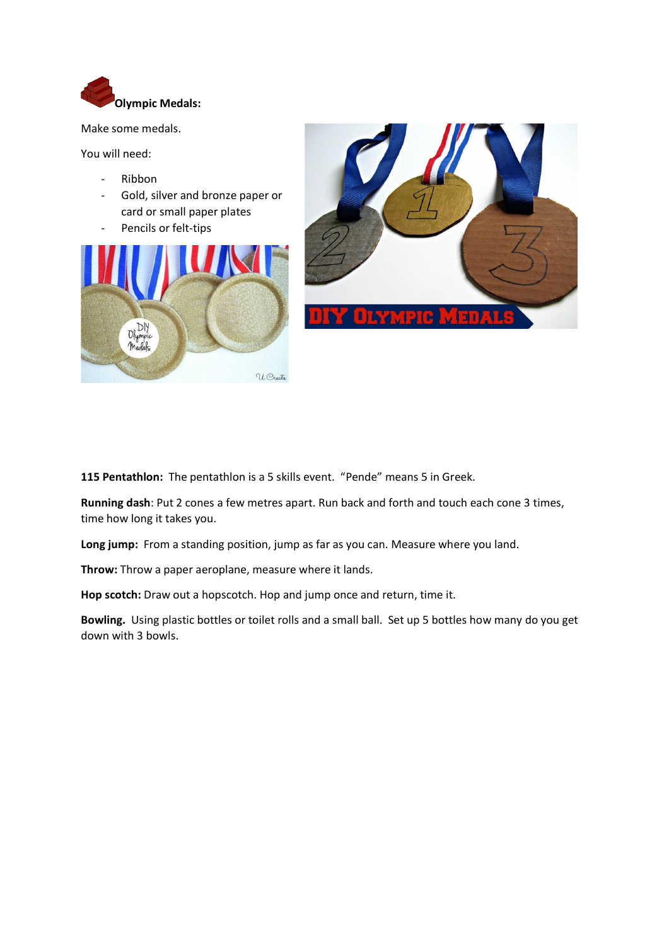

Make some medals.

You will need:

- Ribbon
- Gold, silver and bronze paper or card or small paper plates
- Pencils or felt-tips





**115 Pentathlon:** The pentathlon is a 5 skills event. "Pende" means 5 in Greek.

**Running dash**: Put 2 cones a few metres apart. Run back and forth and touch each cone 3 times, time how long it takes you.

**Long jump:** From a standing position, jump as far as you can. Measure where you land.

**Throw:** Throw a paper aeroplane, measure where it lands.

**Hop scotch:** Draw out a hopscotch. Hop and jump once and return, time it.

**Bowling.** Using plastic bottles or toilet rolls and a small ball. Set up 5 bottles how many do you get down with 3 bowls.